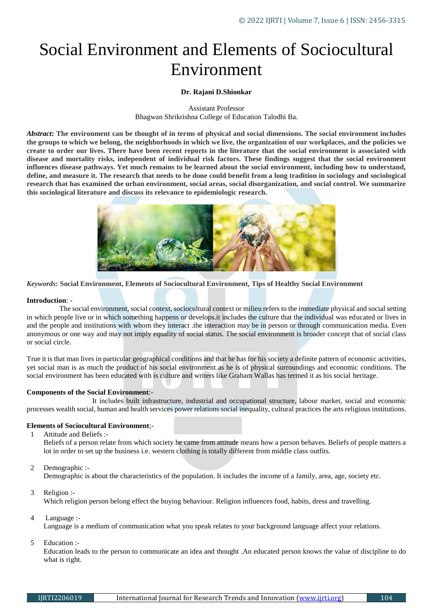# Social Environment and Elements of Sociocultural Environment

## **Dr. Rajani D.Shionkar**

Assistant Professor Bhagwan Shrikrishna College of Education Talodhi Ba.

*Abstract***: The environment can be thought of in terms of physical and social dimensions. The social environment includes the groups to which we belong, the neighborhoods in which we live, the organization of our workplaces, and the policies we create to order our lives. There have been recent reports in the literature that the social environment is associated with disease and mortality risks, independent of individual risk factors. These findings suggest that the social environment influences disease pathways. Yet much remains to be learned about the social environment, including how to understand, define, and measure it. The research that needs to be done could benefit from a long tradition in sociology and sociological research that has examined the urban environment, social areas, social disorganization, and social control. We summarize this sociological literature and discuss its relevance to epidemiologic research.**



*Keywords***: Social Environment, Elements of Sociocultural Environment, Tips of Healthy Social Environment**

#### **Introduction**: -

 The social environment, social context, sociocultural context or milieu refers to the immediate physical and social setting in which people live or in which something happens or develops.it includes the culture that the individual was educated or lives in and the people and institutions with whom they interact .the interaction may be in person or through communication media. Even anonymous or one way and may not imply equality of social status. The social environment is broader concept that of social class or social circle.

True it is that man lives in particular geographical conditions and that he has for his society a definite pattern of economic activities, yet social man is as much the product of his social environment as he is of physical surroundings and economic conditions. The social environment has been educated with is culture and writers like Graham Wallas has termed it as his social heritage.

## **Components of the Social Environment**:-

 It includes built infrastructure, industrial and occupational structure, labour market, social and economic processes wealth social, human and health services power relations social inequality, cultural practices the arts religious institutions.

#### **Elements of Sociocultural Environment**;-

1 Attitude and Beliefs :-

Beliefs of a person relate from which society he came from attitude means how a person behaves. Beliefs of people matters a lot in order to set up the business i.e. western clothing is totally different from middle class outfits.

2 Demographic :-

Demographic is about the characteristics of the population. It includes the income of a family, area, age, society etc.

3 Religion :-

Which religion person belong effect the buying behaviour. Religion influences food, habits, dress and travelling.

4 Language :-

Language is a medium of communication what you speak relates to your background language affect your relations.

5 Education :-

Education leads to the person to communicate an idea and thought .An educated person knows the value of discipline to do what is right.